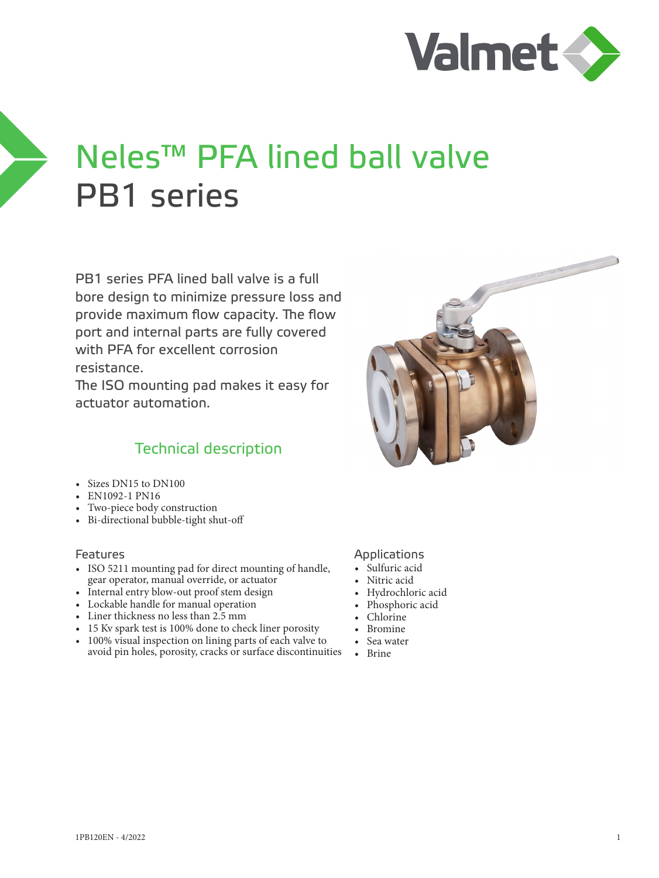

## Neles™ PFA lined ball valve PB1 series

PB1 series PFA lined ball valve is a full bore design to minimize pressure loss and provide maximum flow capacity. The flow port and internal parts are fully covered with PFA for excellent corrosion resistance.

The ISO mounting pad makes it easy for actuator automation.

## Technical description

- Sizes DN15 to DN100
- EN1092-1 PN16
- Two-piece body construction
- Bi-directional bubble-tight shut-off

#### Features

- ISO 5211 mounting pad for direct mounting of handle, gear operator, manual override, or actuator
- Internal entry blow-out proof stem design
- Lockable handle for manual operation
- Liner thickness no less than 2.5 mm
- 15 Kv spark test is 100% done to check liner porosity
- 100% visual inspection on lining parts of each valve to avoid pin holes, porosity, cracks or surface discontinuities

#### Applications

- Sulfuric acid
- Nitric acid
- Hydrochloric acid
- Phosphoric acid
- Chlorine
- Bromine
- Sea water
- Brine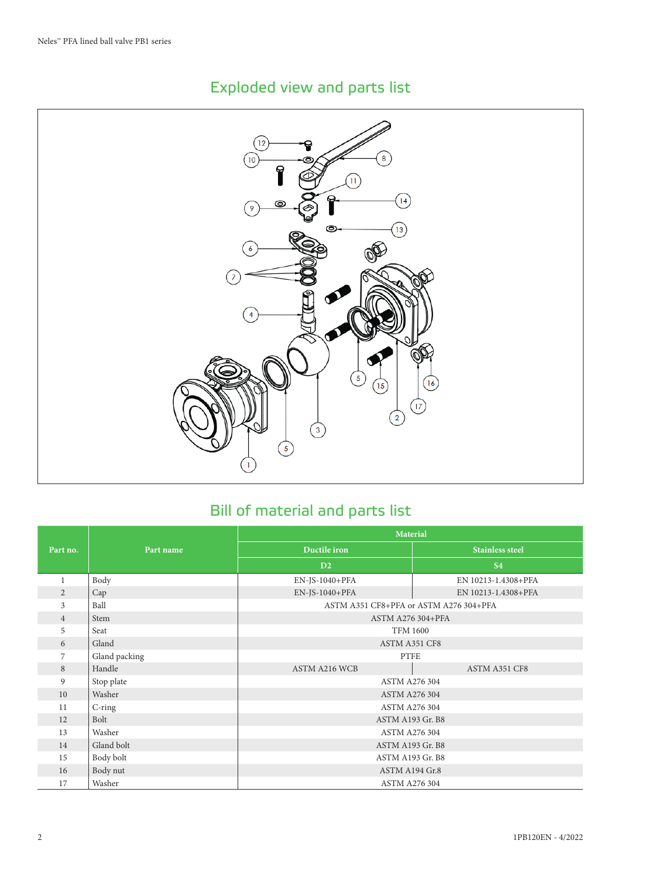# (12 8  $\sqrt{10}$  $\widehat{\scriptstyle\rm n}$  $\left(14\right)$  $\sqrt{13}$  $\overline{2}$  $\sqrt{3}$  $\binom{5}{ }$

## Exploded view and parts list

## Bill of material and parts list

|                |               | <b>Material</b>                        |                        |  |  |
|----------------|---------------|----------------------------------------|------------------------|--|--|
| Part no.       | Part name     | Ductile iron                           | <b>Stainless steel</b> |  |  |
|                |               | D <sub>2</sub>                         | <b>S4</b>              |  |  |
| -1             | Body          | EN-JS-1040+PFA                         | EN 10213-1.4308+PFA    |  |  |
| 2              | Cap           | EN-JS-1040+PFA                         | EN 10213-1.4308+PFA    |  |  |
| 3              | Ball          | ASTM A351 CF8+PFA or ASTM A276 304+PFA |                        |  |  |
| $\overline{4}$ | Stem          | ASTM A276 304+PFA                      |                        |  |  |
| 5              | Seat          | <b>TFM 1600</b>                        |                        |  |  |
| 6              | Gland         | ASTM A351 CF8                          |                        |  |  |
| 7              | Gland packing | PTFE                                   |                        |  |  |
| 8              | Handle        | <b>ASTM A216 WCB</b>                   | ASTM A351 CF8          |  |  |
| 9              | Stop plate    | <b>ASTM A276 304</b>                   |                        |  |  |
| 10             | Washer        | <b>ASTM A276 304</b>                   |                        |  |  |
| 11             | $C$ -ring     | <b>ASTM A276 304</b>                   |                        |  |  |
| 12             | Bolt          | ASTM A193 Gr. B8                       |                        |  |  |
| 13             | Washer        | <b>ASTM A276 304</b>                   |                        |  |  |
| 14             | Gland bolt    | ASTM A193 Gr. B8                       |                        |  |  |
| 15             | Body bolt     | <b>ASTM A193 Gr. B8</b>                |                        |  |  |
| 16             | Body nut      | ASTM A194 Gr.8                         |                        |  |  |
| 17             | Washer        | <b>ASTM A276 304</b>                   |                        |  |  |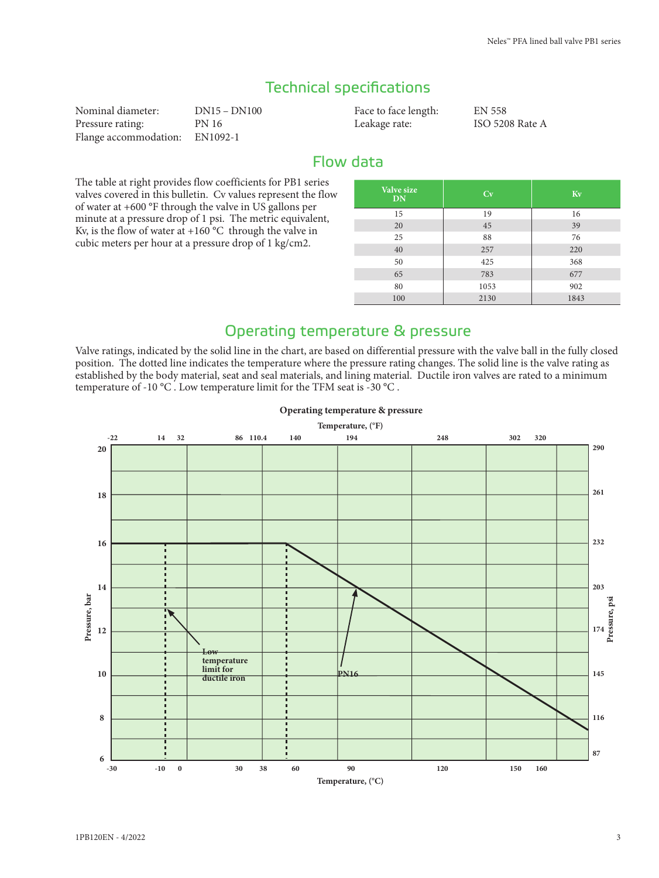### Technical specifications

Nominal diameter: DN15 – DN100 Pressure rating: PN 16 Flange accommodation: EN1092-1

Face to face length: EN 558 Leakage rate: ISO 5208 Rate A

#### Flow data

The table at right provides flow coefficients for PB1 series valves covered in this bulletin. Cv values represent the flow of water at +600 °F through the valve in US gallons per minute at a pressure drop of 1 psi. The metric equivalent, Kv, is the flow of water at  $+160$  °C through the valve in cubic meters per hour at a pressure drop of 1 kg/cm2.

| Valve size<br><b>DN</b> | Cv   | Kv   |
|-------------------------|------|------|
| 15                      | 19   | 16   |
| 20                      | 45   | 39   |
| 25                      | 88   | 76   |
| 40                      | 257  | 220  |
| 50                      | 425  | 368  |
| 65                      | 783  | 677  |
| 80                      | 1053 | 902  |
| 100                     | 2130 | 1843 |

## Operating temperature & pressure

Valve ratings, indicated by the solid line in the chart, are based on differential pressure with the valve ball in the fully closed position. The dotted line indicates the temperature where the pressure rating changes. The solid line is the valve rating as established by the body material, seat and seal materials, and lining material. Ductile iron valves are rated to a minimum temperature of -10 °C . Low temperature limit for the TFM seat is -30 °C .

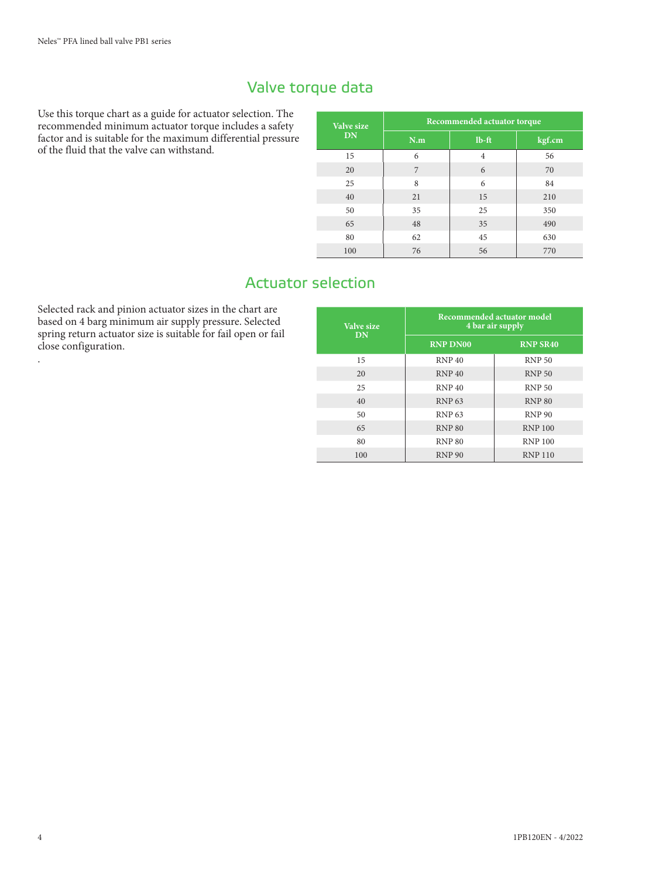## Valve torque data

Use this torque chart as a guide for actuator selection. The recommended minimum actuator torque includes a safety factor and is suitable for the maximum differential pressure of the fluid that the valve can withstand.

| Valve size | Recommended actuator torque |                |        |  |  |
|------------|-----------------------------|----------------|--------|--|--|
| <b>DN</b>  | N.m                         | $lb$ -ft       | kgf.cm |  |  |
| 15         | 6                           | $\overline{4}$ | 56     |  |  |
| 20         | 7                           | 6              | 70     |  |  |
| 25         | 8                           | 6              | 84     |  |  |
| 40         | 21                          | 15             | 210    |  |  |
| 50         | 35                          | 25             | 350    |  |  |
| 65         | 48                          | 35             | 490    |  |  |
| 80         | 62                          | 45             | 630    |  |  |
| 100        | 76                          | 56             | 770    |  |  |

## Actuator selection

Selected rack and pinion actuator sizes in the chart are based on 4 barg minimum air supply pressure. Selected spring return actuator size is suitable for fail open or fail close configuration.

| Valve size<br>DN |                   | Recommended actuator model<br>4 bar air supply |  |  |
|------------------|-------------------|------------------------------------------------|--|--|
|                  | <b>RNP DN00</b>   | <b>RNP SR40</b>                                |  |  |
| 15               | RNP <sub>40</sub> | <b>RNP 50</b>                                  |  |  |
| 20               | <b>RNP 40</b>     | <b>RNP 50</b>                                  |  |  |
| 25               | RNP <sub>40</sub> | <b>RNP 50</b>                                  |  |  |
| 40               | <b>RNP 63</b>     | <b>RNP 80</b>                                  |  |  |
| 50               | <b>RNP 63</b>     | <b>RNP 90</b>                                  |  |  |
| 65               | <b>RNP 80</b>     | <b>RNP 100</b>                                 |  |  |
| 80               | <b>RNP 80</b>     | <b>RNP 100</b>                                 |  |  |
| 100              | <b>RNP 90</b>     | <b>RNP 110</b>                                 |  |  |

.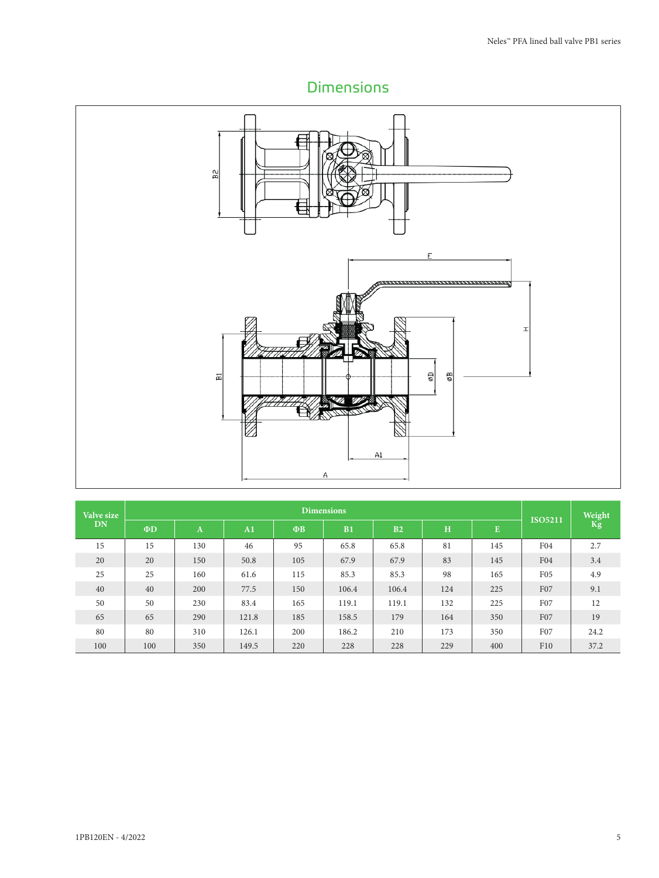## Dimensions



| <b>Valve size</b> | <b>Dimensions</b> |     |                |          |       |       |     |         | <b>ISO5211</b>  | Weight |
|-------------------|-------------------|-----|----------------|----------|-------|-------|-----|---------|-----------------|--------|
| DN                | $\Phi$ D          | A   | A <sub>1</sub> | $\Phi$ B | B1    | B2    | H   | $\bf E$ |                 | Kg     |
| 15                | 15                | 130 | 46             | 95       | 65.8  | 65.8  | 81  | 145     | F <sub>04</sub> | 2.7    |
| 20                | 20                | 150 | 50.8           | 105      | 67.9  | 67.9  | 83  | 145     | F04             | 3.4    |
| 25                | 25                | 160 | 61.6           | 115      | 85.3  | 85.3  | 98  | 165     | F <sub>05</sub> | 4.9    |
| 40                | 40                | 200 | 77.5           | 150      | 106.4 | 106.4 | 124 | 225     | F07             | 9.1    |
| 50                | 50                | 230 | 83.4           | 165      | 119.1 | 119.1 | 132 | 225     | F <sub>07</sub> | 12     |
| 65                | 65                | 290 | 121.8          | 185      | 158.5 | 179   | 164 | 350     | F <sub>07</sub> | 19     |
| 80                | 80                | 310 | 126.1          | 200      | 186.2 | 210   | 173 | 350     | F <sub>07</sub> | 24.2   |
| 100               | 100               | 350 | 149.5          | 220      | 228   | 228   | 229 | 400     | F10             | 37.2   |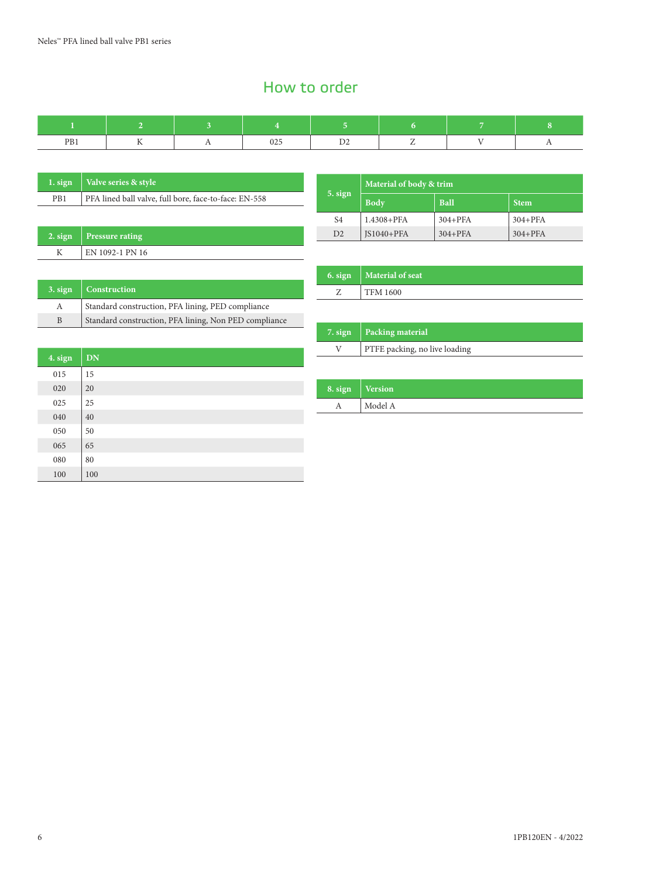K EN 1092-1 PN 16

## How to order

| DD <sub>1</sub><br>F D I |  | ጎኅ<br>$\sim$ 4 $\sim$ |  |  |
|--------------------------|--|-----------------------|--|--|

| 1. sign   | Valve series & style                                  |
|-----------|-------------------------------------------------------|
| PB1       | PFA lined ball valve, full bore, face-to-face: EN-558 |
|           |                                                       |
|           |                                                       |
| $2.$ sign | <b>Pressure rating</b>                                |

|                | Material of body & trim |             |             |  |  |  |
|----------------|-------------------------|-------------|-------------|--|--|--|
| 5. sign        | <b>Body</b>             | <b>Ball</b> | <b>Stem</b> |  |  |  |
| S <sub>4</sub> | $1.4308 + PFA$          | $304 + PFA$ | $304 + PFA$ |  |  |  |
| D2             | JS1040+PFA              | $304 + PFA$ | $304 + PFA$ |  |  |  |

|   | 3. sign Construction                                  |
|---|-------------------------------------------------------|
| A | Standard construction, PFA lining, PED compliance     |
| B | Standard construction, PFA lining, Non PED compliance |

| 6. sign   Material of seat |
|----------------------------|
| TFM 1600                   |

| 7. sign   Packing material    |
|-------------------------------|
| PTFE packing, no live loading |

| 4. sign | <b>DN</b> |
|---------|-----------|
| 015     | 15        |
| 020     | 20        |
| 025     | 25        |
| 040     | 40        |
| 050     | 50        |
| 065     | 65        |
| 080     | 80        |
| 100     | 100       |

| 8. sign Version |         |
|-----------------|---------|
|                 | Model A |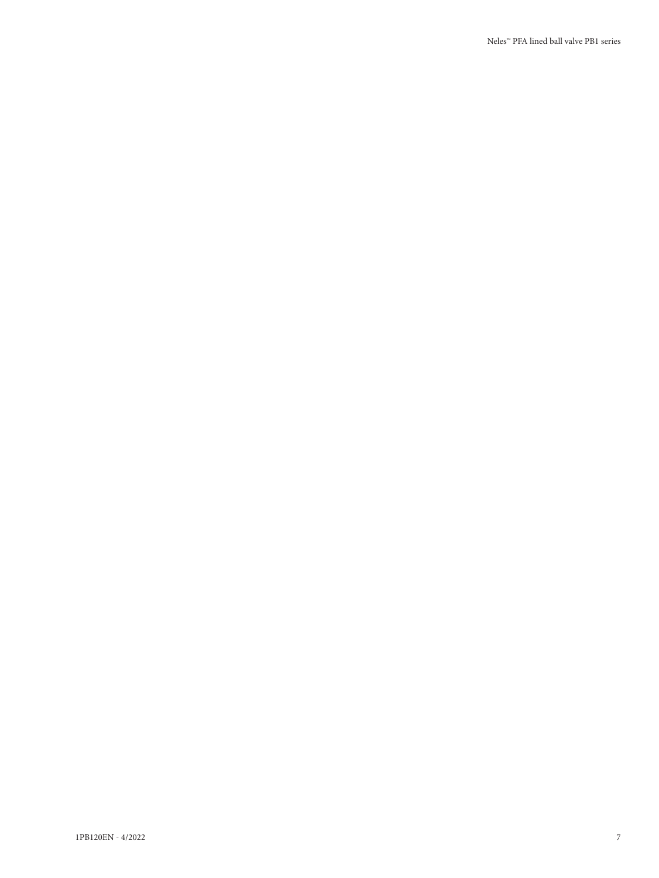Neles™ PFA lined ball valve PB1 series